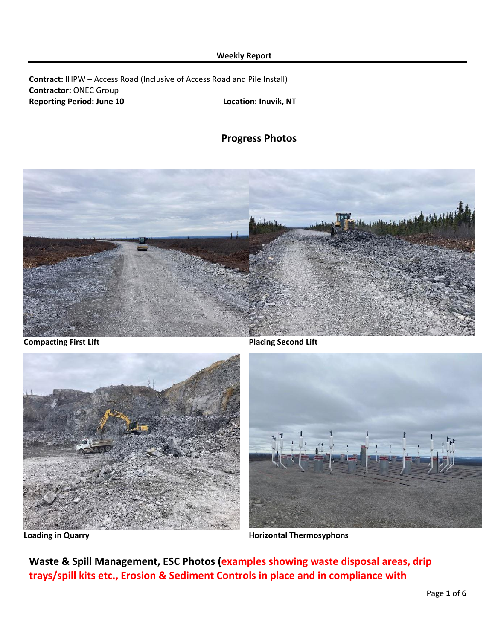### **Weekly Report**

**Contract:** IHPW – Access Road (Inclusive of Access Road and Pile Install) **Contractor:** ONEC Group **Reporting Period: June 10 Location: Inuvik, NT**

**Progress Photos**





**Compacting First Lift Placing Second Lift** 



Loading in Quarry **Matter and Separate State Inc.** Horizontal Thermosyphons

**Waste & Spill Management, ESC Photos (examples showing waste disposal areas, drip trays/spill kits etc., Erosion & Sediment Controls in place and in compliance with**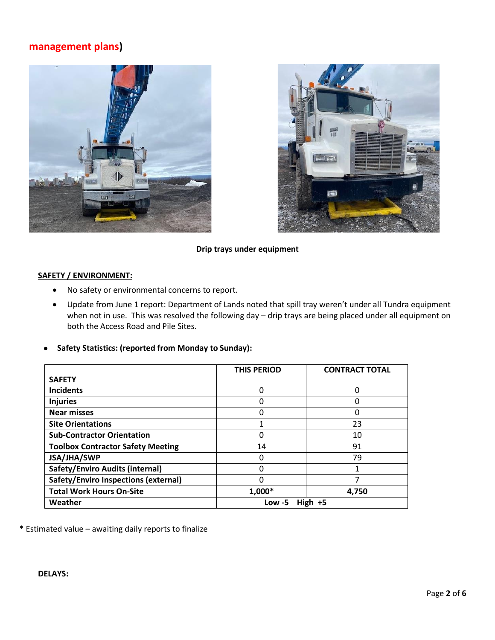# **management plans)**





### **Drip trays under equipment**

### **SAFETY / ENVIRONMENT:**

- No safety or environmental concerns to report.
- Update from June 1 report: Department of Lands noted that spill tray weren't under all Tundra equipment when not in use. This was resolved the following day – drip trays are being placed under all equipment on both the Access Road and Pile Sites.
- **Safety Statistics: (reported from Monday to Sunday):**

|                                          | <b>THIS PERIOD</b>       | <b>CONTRACT TOTAL</b> |  |  |  |
|------------------------------------------|--------------------------|-----------------------|--|--|--|
| <b>SAFETY</b>                            |                          |                       |  |  |  |
| <b>Incidents</b>                         | 0                        | 0                     |  |  |  |
| <b>Injuries</b>                          | 0                        | ი                     |  |  |  |
| <b>Near misses</b>                       | 0                        | 0                     |  |  |  |
| <b>Site Orientations</b>                 | 1                        | 23                    |  |  |  |
| <b>Sub-Contractor Orientation</b>        | 0                        | 10                    |  |  |  |
| <b>Toolbox Contractor Safety Meeting</b> | 14                       | 91                    |  |  |  |
| JSA/JHA/SWP                              | 0                        | 79                    |  |  |  |
| <b>Safety/Enviro Audits (internal)</b>   | 0                        |                       |  |  |  |
| Safety/Enviro Inspections (external)     | 0                        |                       |  |  |  |
| <b>Total Work Hours On-Site</b>          | 1,000*                   | 4,750                 |  |  |  |
| Weather                                  | <b>High</b><br>$Low - 5$ |                       |  |  |  |

\* Estimated value – awaiting daily reports to finalize

## **DELAYS:**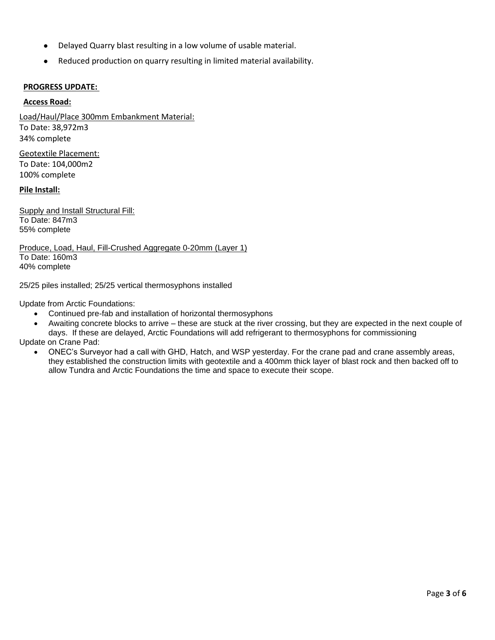- Delayed Quarry blast resulting in a low volume of usable material.
- Reduced production on quarry resulting in limited material availability.

## **PROGRESS UPDATE:**

### **Access Road:**

Load/Haul/Place 300mm Embankment Material: To Date: 38,972m3 34% complete

Geotextile Placement: To Date: 104,000m2 100% complete

### **Pile Install:**

Supply and Install Structural Fill: To Date: 847m3 55% complete

Produce, Load, Haul, Fill-Crushed Aggregate 0-20mm (Layer 1) To Date: 160m3 40% complete

25/25 piles installed; 25/25 vertical thermosyphons installed

Update from Arctic Foundations:

- Continued pre-fab and installation of horizontal thermosyphons
- Awaiting concrete blocks to arrive these are stuck at the river crossing, but they are expected in the next couple of days. If these are delayed, Arctic Foundations will add refrigerant to thermosyphons for commissioning

Update on Crane Pad:

• ONEC's Surveyor had a call with GHD, Hatch, and WSP yesterday. For the crane pad and crane assembly areas, they established the construction limits with geotextile and a 400mm thick layer of blast rock and then backed off to allow Tundra and Arctic Foundations the time and space to execute their scope.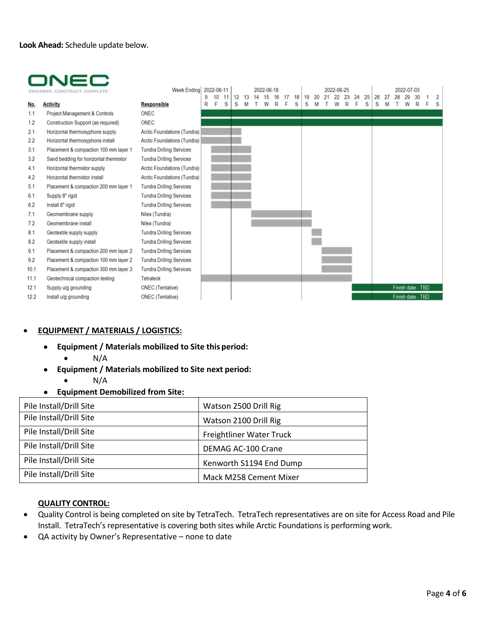

|      | ER. CONSTRUCT. COMPLETE                | Week Ending                     | 9 | 2022-06-11<br>10 | 11 | 12 | 13 | 2022-06-18 | 18 | 19 | 20 | 21 | 2022-06-25<br>22 | 23 | 24 | 25 | 26 | 27 | 2022-07-03        | 30 | 2 |
|------|----------------------------------------|---------------------------------|---|------------------|----|----|----|------------|----|----|----|----|------------------|----|----|----|----|----|-------------------|----|---|
| No.  | Activity                               | Responsible                     | R | F                | S  | S  |    |            | S  | S  |    |    |                  |    |    | S  | S  |    |                   |    | s |
| 1.1  | Project Management & Controls          | ONEC                            |   |                  |    |    |    |            |    |    |    |    |                  |    |    |    |    |    |                   |    |   |
| 1.2  | Construction Support (as required)     | ONEC                            |   |                  |    |    |    |            |    |    |    |    |                  |    |    |    |    |    |                   |    |   |
| 2.1  | Horizontal thermosyphons supply        | Arctic Foundations (Tundra)     |   |                  |    |    |    |            |    |    |    |    |                  |    |    |    |    |    |                   |    |   |
| 2.2  | Horizontal thermosyphons install       | Arctic Foundations (Tundra)     |   |                  |    |    |    |            |    |    |    |    |                  |    |    |    |    |    |                   |    |   |
| 3.1  | Placement & compaction 100 mm layer 1  | <b>Tundra Drilling Services</b> |   |                  |    |    |    |            |    |    |    |    |                  |    |    |    |    |    |                   |    |   |
| 3.2  | Sand bedding for horizontal thermistor | <b>Tundra Drilling Services</b> |   |                  |    |    |    |            |    |    |    |    |                  |    |    |    |    |    |                   |    |   |
| 4.1  | Horizontal thermistor supply           | Arctic Foundations (Tundra)     |   |                  |    |    |    |            |    |    |    |    |                  |    |    |    |    |    |                   |    |   |
| 4.2  | Horizontal thermistor install          | Arctic Foundations (Tundra)     |   |                  |    |    |    |            |    |    |    |    |                  |    |    |    |    |    |                   |    |   |
| 5.1  | Placement & compaction 200 mm layer 1  | Tundra Drilling Services        |   |                  |    |    |    |            |    |    |    |    |                  |    |    |    |    |    |                   |    |   |
| 6.1  | Supply 8" rigid                        | <b>Tundra Drilling Services</b> |   |                  |    |    |    |            |    |    |    |    |                  |    |    |    |    |    |                   |    |   |
| 6.2  | Install 8" rigid                       | <b>Tundra Drilling Services</b> |   |                  |    |    |    |            |    |    |    |    |                  |    |    |    |    |    |                   |    |   |
| 7.1  | Geomembrane supply                     | Nilex (Tundra)                  |   |                  |    |    |    |            |    |    |    |    |                  |    |    |    |    |    |                   |    |   |
| 7.2  | Geomembrane install                    | Nilex (Tundra)                  |   |                  |    |    |    |            |    |    |    |    |                  |    |    |    |    |    |                   |    |   |
| 8.1  | Geotextile supply supply               | <b>Tundra Drilling Services</b> |   |                  |    |    |    |            |    |    |    |    |                  |    |    |    |    |    |                   |    |   |
| 8.2  | Geotextile supply install              | Tundra Drilling Services        |   |                  |    |    |    |            |    |    |    |    |                  |    |    |    |    |    |                   |    |   |
| 9.1  | Placement & compaction 200 mm layer 2  | Tundra Drilling Services        |   |                  |    |    |    |            |    |    |    |    |                  |    |    |    |    |    |                   |    |   |
| 9.2  | Placement & compaction 100 mm layer 2  | <b>Tundra Drilling Services</b> |   |                  |    |    |    |            |    |    |    |    |                  |    |    |    |    |    |                   |    |   |
| 10.1 | Placement & compaction 300 mm layer 3  | <b>Tundra Drilling Services</b> |   |                  |    |    |    |            |    |    |    |    |                  |    |    |    |    |    |                   |    |   |
| 11.1 | Geotechnical compaction testing        | Tetrateck                       |   |                  |    |    |    |            |    |    |    |    |                  |    |    |    |    |    |                   |    |   |
| 12.1 | Supply u/g grounding                   | ONEC (Tentative)                |   |                  |    |    |    |            |    |    |    |    |                  |    |    |    |    |    | Finish date - TBD |    |   |
| 12.2 | Install u/g grounding                  | ONEC (Tentative)                |   |                  |    |    |    |            |    |    |    |    |                  |    |    |    |    |    | Finish date - TBD |    |   |

# • **EQUIPMENT / MATERIALS / LOGISTICS:**

- **Equipment / Materials mobilized to Site this period:**
	- $\bullet$  N/A
- **Equipment / Materials mobilized to Site next period:**
	- $\bullet$  N/A
- **Equipment Demobilized from Site:**

| Pile Install/Drill Site | Watson 2500 Drill Rig    |
|-------------------------|--------------------------|
| Pile Install/Drill Site | Watson 2100 Drill Rig    |
| Pile Install/Drill Site | Freightliner Water Truck |
| Pile Install/Drill Site | DEMAG AC-100 Crane       |
| Pile Install/Drill Site | Kenworth S1194 End Dump  |
| Pile Install/Drill Site | Mack M258 Cement Mixer   |

#### **QUALITY CONTROL:**

- Quality Control is being completed on site by TetraTech. TetraTech representatives are on site for Access Road and Pile Install. TetraTech's representative is covering both sites while Arctic Foundations is performing work.
- QA activity by Owner's Representative none to date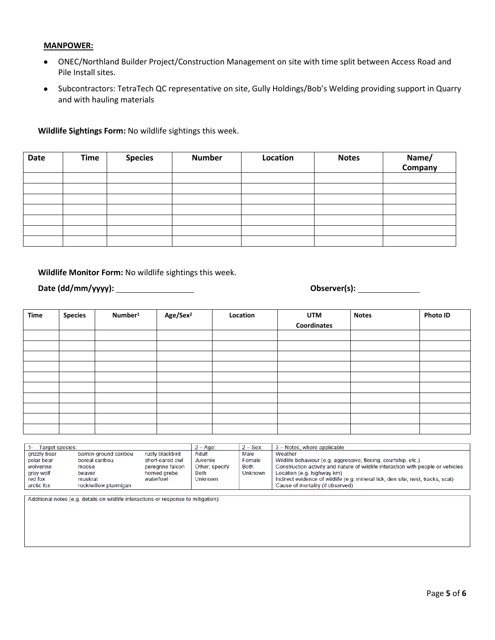#### **MANPOWER:**

- ONEC/Northland Builder Project/Construction Management on site with time split between Access Road and Pile Install sites.
- Subcontractors: TetraTech QC representative on site, Gully Holdings/Bob's Welding providing support in Quarry and with hauling materials

### **Wildlife Sightings Form:** No wildlife sightings this week.

| Date | <b>Time</b> | <b>Species</b><br><b>Number</b> |  | Location | <b>Notes</b> | Name/<br>Company |  |  |
|------|-------------|---------------------------------|--|----------|--------------|------------------|--|--|
|      |             |                                 |  |          |              |                  |  |  |
|      |             |                                 |  |          |              |                  |  |  |
|      |             |                                 |  |          |              |                  |  |  |
|      |             |                                 |  |          |              |                  |  |  |
|      |             |                                 |  |          |              |                  |  |  |
|      |             |                                 |  |          |              |                  |  |  |
|      |             |                                 |  |          |              |                  |  |  |

### **Wildlife Monitor Form:** No wildlife sightings this week.

**Date (dd/mm/yyyy): Observer(s):** 

| Time | <b>Species</b> | Number <sup>1</sup> | Age/Sex <sup>2</sup> | Location | <b>UTM</b>  | <b>Notes</b> | <b>Photo ID</b> |
|------|----------------|---------------------|----------------------|----------|-------------|--------------|-----------------|
|      |                |                     |                      |          | Coordinates |              |                 |
|      |                |                     |                      |          |             |              |                 |
|      |                |                     |                      |          |             |              |                 |
|      |                |                     |                      |          |             |              |                 |
|      |                |                     |                      |          |             |              |                 |
|      |                |                     |                      |          |             |              |                 |
|      |                |                     |                      |          |             |              |                 |
|      |                |                     |                      |          |             |              |                 |
|      |                |                     |                      |          |             |              |                 |
|      |                |                     |                      |          |             |              |                 |
|      |                |                     |                      |          |             |              |                 |

| Target species: |                       |                  | $2 - Age$      | $2 -$ Sex:  | 3 – Notes, where applicable                                                      |
|-----------------|-----------------------|------------------|----------------|-------------|----------------------------------------------------------------------------------|
| grizzly bear    | barren-ground caribou | rusty blackbird  | Adult          | Male        | Weather                                                                          |
| polar bear      | boreal caribou        | short-eared owl  | Juvenile       | Female      | Wildlife behaviour (e.g. aggressive, fleeing, courtship, etc.)                   |
| wolverine       | moose                 | peregrine falcon | Other, specify | <b>Both</b> | Construction activity and nature of wildlife interaction with people or vehicles |
| gray wolf       | beaver                | horned grebe     | <b>Both</b>    | Unknown     | Location (e.g. highway km)                                                       |
| red fox         | muskrat               | waterfowl        | <b>Unknown</b> |             | Indirect evidence of wildlife (e.g. mineral lick, den site, nest, tracks, scat)  |
| arctic fox      | rock/willow ptarmigan |                  |                |             | Cause of mortality (if observed)                                                 |

Additional notes (e.g. details on wildlife interactions or response to mitigation):